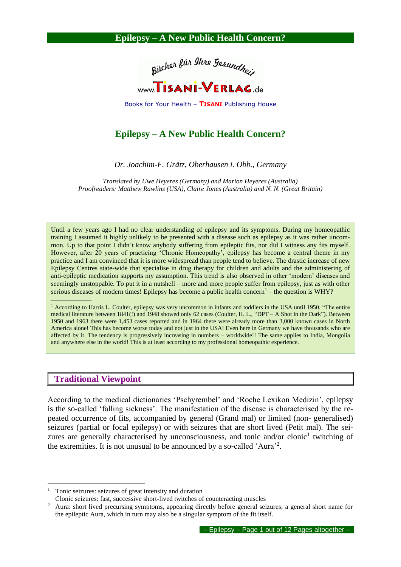

Books for Your Health – **TISANI** Publishing House

# **Epilepsy – A New Public Health Concern?**

*Dr. Joachim-F. Grätz, Oberhausen i. Obb., Germany*

*Translated by Uwe Heyeres (Germany) and Marion Heyeres (Australia) Proofreaders: Matthew Rawlins (USA), Claire Jones (Australia) and N. N. (Great Britain)*

Until a few years ago I had no clear understanding of epilepsy and its symptoms. During my homeopathic training I assumed it highly unlikely to be presented with a disease such as epilepsy as it was rather uncommon. Up to that point I didn't know anybody suffering from epileptic fits, nor did I witness any fits myself. However, after 20 years of practicing 'Chronic Homeopathy', epilepsy has become a central theme in my practice and I am convinced that it is more widespread than people tend to believe. The drastic increase of new Epilepsy Centres state-wide that specialise in drug therapy for children and adults and the administering of anti-epileptic medication supports my assumption. This trend is also observed in other 'modern' diseases and seemingly unstoppable. To put it in a nutshell – more and more people suffer from epilepsy, just as with other serious diseases of modern times! Epilepsy has become a public health concern<sup>1</sup> – the question is  $WHY$ ?

<sup>1</sup> According to Harris L. Coulter, epilepsy was very uncommon in infants and toddlers in the USA until 1950. "The entire medical literature between 1841(!) and 1948 showed only 62 cases (Coulter, H. L., "DPT – A Shot in the Dark"). Between 1950 and 1963 there were 1,453 cases reported and in 1964 there were already more than 3,000 known cases in North America alone! This has become worse today and not just in the USA! Even here in Germany we have thousands who are affected by it. The tendency is progressively increasing in numbers – worldwide!! The same applies to India, Mongolia and anywhere else in the world! This is at least according to my professional homeopathic experience.

### **Traditional Viewpoint**

 $\frac{1}{2}$  ,  $\frac{1}{2}$  ,  $\frac{1}{2}$  ,  $\frac{1}{2}$  ,  $\frac{1}{2}$  ,  $\frac{1}{2}$  ,  $\frac{1}{2}$ 

According to the medical dictionaries 'Pschyrembel' and 'Roche Lexikon Medizin', epilepsy is the so-called 'falling sickness'. The manifestation of the disease is characterised by the repeated occurrence of fits, accompanied by general (Grand mal) or limited (non- generalised) seizures (partial or focal epilepsy) or with seizures that are short lived (Petit mal). The seizures are generally characterised by unconsciousness, and tonic and/or clonic<sup>1</sup> twitching of the extremities. It is not unusual to be announced by a so-called 'Aura'<sup>2</sup>.

<sup>1</sup> Tonic seizures: seizures of great intensity and duration

Clonic seizures: fast, successive short-lived twitches of counteracting muscles

<sup>2</sup> Aura: short lived precursing symptoms, appearing directly before general seizures; a general short name for the epileptic Aura, which in turn may also be a singular symptom of the fit itself.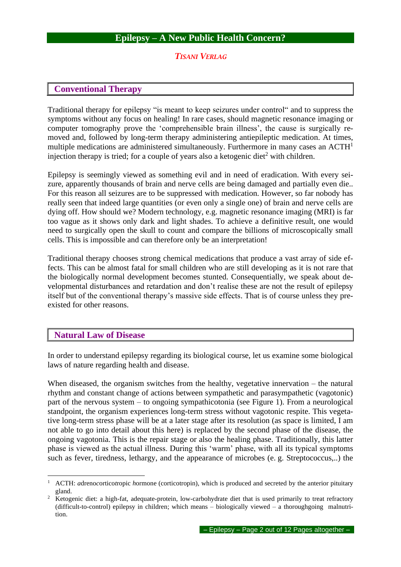### *TISANI VERLAG*

## **Conventional Therapy**

Traditional therapy for epilepsy "is meant to keep seizures under control" and to suppress the symptoms without any focus on healing! In rare cases, should magnetic resonance imaging or computer tomography prove the 'comprehensible brain illness', the cause is surgically removed and, followed by long-term therapy administering antiepileptic medication. At times, multiple medications are administered simultaneously. Furthermore in many cases an ACTH<sup>1</sup> injection therapy is tried; for a couple of years also a ketogenic diet<sup>2</sup> with children.

Epilepsy is seemingly viewed as something evil and in need of eradication. With every seizure, apparently thousands of brain and nerve cells are being damaged and partially even die.. For this reason all seizures are to be suppressed with medication. However, so far nobody has really seen that indeed large quantities (or even only a single one) of brain and nerve cells are dying off. How should we? Modern technology, e.g. magnetic resonance imaging (MRI) is far too vague as it shows only dark and light shades. To achieve a definitive result, one would need to surgically open the skull to count and compare the billions of microscopically small cells. This is impossible and can therefore only be an interpretation!

Traditional therapy chooses strong chemical medications that produce a vast array of side effects. This can be almost fatal for small children who are still developing as it is not rare that the biologically normal development becomes stunted. Consequentially, we speak about developmental disturbances and retardation and don't realise these are not the result of epilepsy itself but of the conventional therapy's massive side effects. That is of course unless they preexisted for other reasons.

## **Natural Law of Disease**

In order to understand epilepsy regarding its biological course, let us examine some biological laws of nature regarding health and disease.

When diseased, the organism switches from the healthy, vegetative innervation – the natural rhythm and constant change of actions between sympathetic and parasympathetic (vagotonic) part of the nervous system – to ongoing sympathicotonia (see Figure 1). From a neurological standpoint, the organism experiences long-term stress without vagotonic respite. This vegetative long-term stress phase will be at a later stage after its resolution (as space is limited, I am not able to go into detail about this here) is replaced by the second phase of the disease, the ongoing vagotonia. This is the repair stage or also the healing phase. Traditionally, this latter phase is viewed as the actual illness. During this 'warm' phase, with all its typical symptoms such as fever, tiredness, lethargy, and the appearance of microbes (e. g. Streptococcus,..) the

<sup>1</sup> ACTH: *a*dreno*c*ortico*t*ropic *h*ormone (corticotropin), which is produced and secreted by the anterior pituitary gland.

<sup>2</sup> Ketogenic diet: a high-fat, adequate-protein, low-carbohydrate diet that is used primarily to treat refractory (difficult-to-control) epilepsy in children; which means – biologically viewed – a thoroughgoing malnutrition.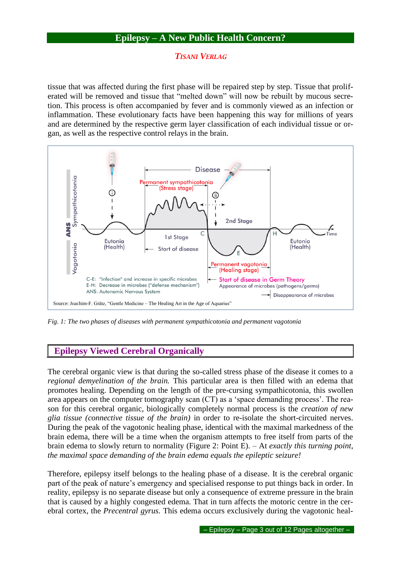### *TISANI VERLAG*

tissue that was affected during the first phase will be repaired step by step. Tissue that proliferated will be removed and tissue that "melted down" will now be rebuilt by mucous secretion. This process is often accompanied by fever and is commonly viewed as an infection or inflammation. These evolutionary facts have been happening this way for millions of years and are determined by the respective germ layer classification of each individual tissue or organ, as well as the respective control relays in the brain.



*Fig. 1: The two phases of diseases with permanent sympathicotonia and permanent vagotonia*

## **Epilepsy Viewed Cerebral Organically**

The cerebral organic view is that during the so-called stress phase of the disease it comes to a *regional demyelination of the brain.* This particular area is then filled with an edema that promotes healing. Depending on the length of the pre-cursing sympathicotonia, this swollen area appears on the computer tomography scan (CT) as a 'space demanding process'. The reason for this cerebral organic, biologically completely normal process is the *creation of new glia tissue (connective tissue of the brain)* in order to re-isolate the short-circuited nerves. During the peak of the vagotonic healing phase, identical with the maximal markedness of the brain edema, there will be a time when the organism attempts to free itself from parts of the brain edema to slowly return to normality (Figure 2: Point E). – At *exactly this turning point, the maximal space demanding of the brain edema equals the epileptic seizure!*

Therefore, epilepsy itself belongs to the healing phase of a disease. It is the cerebral organic part of the peak of nature's emergency and specialised response to put things back in order. In reality, epilepsy is no separate disease but only a consequence of extreme pressure in the brain that is caused by a highly congested edema. That in turn affects the motoric centre in the cerebral cortex, the *Precentral gyrus.* This edema occurs exclusively during the vagotonic heal-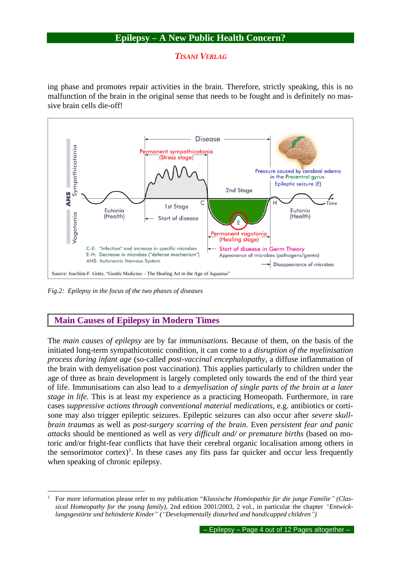## *TISANI VERLAG*

ing phase and promotes repair activities in the brain. Therefore, strictly speaking, this is no malfunction of the brain in the original sense that needs to be fought and is definitely no massive brain cells die-off!



*Fig.2: Epilepsy in the focus of the two phases of diseases*

# **Main Causes of Epilepsy in Modern Times**

The *main causes of epilepsy* are by far *immunisations.* Because of them, on the basis of the initiated long-term sympathicotonic condition, it can come to a *disruption of the myelinisation process during infant age* (so-called *post-vaccinal encephalopathy,* a diffuse inflammation of the brain with demyelisation post vaccination). This applies particularly to children under the age of three as brain development is largely completed only towards the end of the third year of life. Immunisations can also lead to a *demyelisation of single parts of the brain at a later stage in life.* This is at least my experience as a practicing Homeopath. Furthermore, in rare cases *suppressive actions through conventional material medications,* e.g. antibiotics or cortisone may also trigger epileptic seizures. Epileptic seizures can also occur after *severe skullbrain traumas* as well as *post-surgery scarring of the brain.* Even *persistent fear and panic attacks* should be mentioned as well as *very difficult and/ or premature births* (based on motoric and/or fright-fear conflicts that have their cerebral organic localisation among others in the sensorimotor cortex)<sup>1</sup>. In these cases any fits pass far quicker and occur less frequently when speaking of chronic epilepsy.

<sup>1</sup> For more information please refer to my publication "*Klassische Homöopathie für die junge Familie" (Classical Homeopathy for the young family),* 2nd edition 2001/2003, 2 vol., in particular the chapter *"Entwicklungsgestörte und behinderte Kinder" ("Developmentally disturbed and handicapped children")*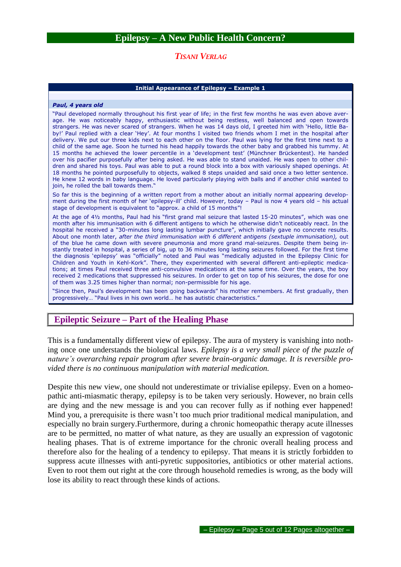### *TISANI VERLAG*

#### **Initial Appearance of Epilepsy – Example 1**

#### *Paul, 4 years old*

"Paul developed normally throughout his first year of life; in the first few months he was even above average. He was noticeably happy, enthusiastic without being restless, well balanced and open towards strangers. He was never scared of strangers. When he was 14 days old, I greeted him with 'Hello, little Baby!' Paul replied with a clear 'Hey'. At four months I visited two friends whom I met in the hospital after delivery. We put our three kids next to each other on the floor. Paul was lying for the first time next to a child of the same age. Soon he turned his head happily towards the other baby and grabbed his tummy. At 15 months he achieved the lower percentile in a 'development test' (Münchner Brückentest). He handed over his pacifier purposefully after being asked. He was able to stand unaided. He was open to other children and shared his toys. Paul was able to put a round block into a box with variously shaped openings. At 18 months he pointed purposefully to objects, walked 8 steps unaided and said once a two letter sentence. He knew 12 words in baby language. He loved particularly playing with balls and if another child wanted to join, he rolled the ball towards them."

So far this is the beginning of a written report from a mother about an initially normal appearing development during the first month of her 'epilepsy-ill' child. However, today – Paul is now 4 years old – his actual stage of development is equivalent to "approx. a child of 15 months"!

At the age of 4½ months, Paul had his "first grand mal seizure that lasted 15-20 minutes", which was one month after his immunisation with 6 different antigens to which he otherwise didn't noticeably react. In the hospital he received a "30-minutes long lasting lumbar puncture", which initially gave no concrete results. About one month later, *after the third immunisation with 6 different antigens (sextuple immunisation),* out of the blue he came down with severe pneumonia and more grand mal-seizures. Despite them being instantly treated in hospital, a series of big, up to 36 minutes long lasting seizures followed. For the first time the diagnosis 'epilepsy' was "officially" noted and Paul was "medically adjusted in the Epilepsy Clinic for Children and Youth in Kehl-Kork". There, they experimented with several different anti-epileptic medications; at times Paul received three anti-convulsive medications at the same time. Over the years, the boy received 2 medications that suppressed his seizures. In order to get on top of his seizures, the dose for one of them was 3.25 times higher than normal; non-permissible for his age.

"Since then, Paul's development has been going backwards" his mother remembers. At first gradually, then progressively… "Paul lives in his own world… he has autistic characteristics."

## **Epileptic Seizure – Part of the Healing Phase**

This is a fundamentally different view of epilepsy. The aura of mystery is vanishing into nothing once one understands the biological laws. *Epilepsy is a very small piece of the puzzle of nature's overarching repair program after severe brain-organic damage. It is reversible provided there is no continuous manipulation with material medication.*

Despite this new view, one should not underestimate or trivialise epilepsy. Even on a homeopathic anti-miasmatic therapy, epilepsy is to be taken very seriously. However, no brain cells are dying and the new message is and you can recover fully as if nothing ever happened! Mind you, a prerequisite is there wasn't too much prior traditional medical manipulation, and especially no brain surgery.Furthermore, during a chronic homeopathic therapy acute illnesses are to be permitted, no matter of what nature, as they are usually an expression of vagotonic healing phases. That is of extreme importance for the chronic overall healing process and therefore also for the healing of a tendency to epilepsy. That means it is strictly forbidden to suppress acute illnesses with anti-pyretic suppositories, antibiotics or other material actions. Even to root them out right at the core through household remedies is wrong, as the body will lose its ability to react through these kinds of actions.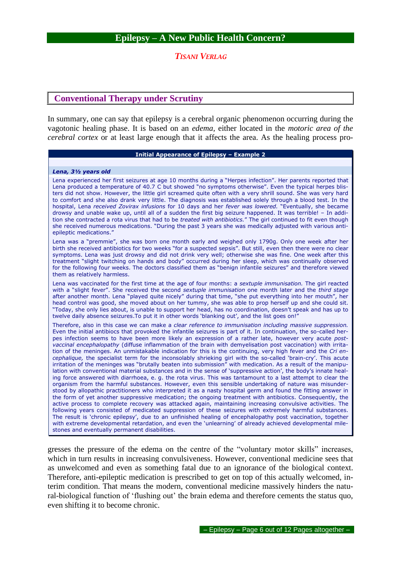### *TISANI VERLAG*

## **Conventional Therapy under Scrutiny**

In summary, one can say that epilepsy is a cerebral organic phenomenon occurring during the vagotonic healing phase. It is based on an *edema,* either located in the *motoric area of the cerebral cortex* or at least large enough that it affects the area. As the healing process pro-

#### **Initial Appearance of Epilepsy – Example 2**

#### *Lena, 3½ years old*

Lena experienced her first seizures at age 10 months during a "Herpes infection". Her parents reported that Lena produced a temperature of 40.7 C but showed "no symptoms otherwise". Even the typical herpes blisters did not show. However, the little girl screamed quite often with a very shrill sound. She was very hard to comfort and she also drank very little. The diagnosis was established solely through a blood test. In the hospital, Lena *received Zovirax infusions* for 10 days and her *fever was lowered.* "Eventually, she became drowsy and unable wake up, until all of a sudden the first big seizure happened. It was terrible! – In addition she contracted a rota virus that had to be *treated with antibiotics.*" The girl continued to fit even though she received numerous medications. "During the past 3 years she was medically adjusted with various antiepileptic medications."

Lena was a "premmie", she was born one month early and weighed only 1790g. Only one week after her birth she received antibiotics for two weeks "for a suspected sepsis". But still, even then there were no clear symptoms. Lena was just drowsy and did not drink very well; otherwise she was fine. One week after this treatment "slight twitching on hands and body" occurred during her sleep, which was continually observed for the following four weeks. The doctors classified them as "benign infantile seizures" and therefore viewed them as relatively harmless.

Lena was vaccinated for the first time at the age of four months: a *sextuple immunisation.* The girl reacted with a "slight fever". She received the second *sextuple immunisation* one month later and the *third stage* after another month. Lena "played quite nicely" during that time, "she put everything into her mouth", her head control was good, she moved about on her tummy, she was able to prop herself up and she could sit. "Today, she only lies about, is unable to support her head, has no coordination, doesn't speak and has up to twelve daily absence seizures. To put it in other words 'blanking out', and the list goes on!"

Therefore, also in this case we can make a *clear reference to immunisation including massive suppression.* Even the initial antibiocs that provoked the infantile seizures is part of it. In continuation, the so-called herpes infection seems to have been more likely an expression of a rather late, however very acute *postvaccinal encephalopathy* (diffuse inflammation of the brain with demyelisation post vaccination) with irritation of the meninges. An unmistakable indication for this is the continuing, very high fever and the *Cri encephalique,* the specialist term for the inconsolably shrieking girl with the so-called 'brain-cry'. This acute irritation of the meninges was "brutally beaten into submission" with medication. As a result of the manipulation with conventional material substances and in the sense of 'suppressive action', the body's innate healing force answered with diarrhoea, e. g. the rota virus. This was tantamount to a last attempt to clear the organism from the harmful substances. However, even this sensible undertaking of nature was misunderstood by allopathic practitioners who interpreted it as a nasty hospital germ and found the fitting answer in the form of yet another suppressive medication; the ongoing treatment with antibiotics. Consequently, the active process to complete recovery was attacked again, maintaining increasing convulsive activities. The following years consisted of medicated suppression of these seizures with extremely harmful substances. The result is 'chronic epilepsy', due to an unfinished healing of encephalopathy post vaccination, together with extreme developmental retardation, and even the 'unlearning' of already achieved developmental milestones and eventually permanent disabilities.

gresses the pressure of the edema on the centre of the "voluntary motor skills" increases, which in turn results in increasing convulsiveness. However, conventional medicine sees that as unwelcomed and even as something fatal due to an ignorance of the biological context. Therefore, anti-epileptic medication is prescribed to get on top of this actually welcomed, interim condition. That means the modern, conventional medicine massively hinders the natural-biological function of 'flushing out' the brain edema and therefore cements the status quo, even shifting it to become chronic.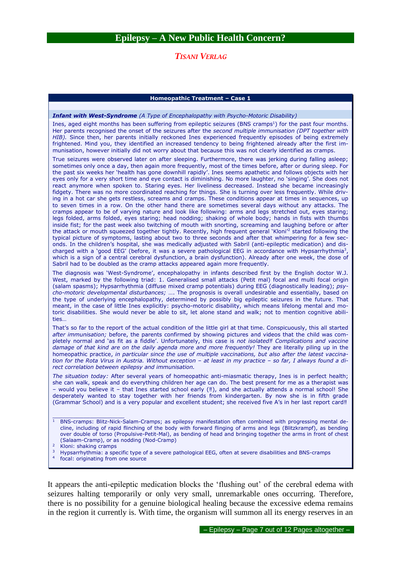### *TISANI VERLAG*

#### **Homeopathic Treatment – Case 1**

#### *Infant with West-Syndrome (A Type of Encephalopathy with Psycho-Motoric Disability)*

Ines, aged eight months has been suffering from epileptic seizures (BNS cramps<sup>1</sup>) for the past four months. Her parents recognised the onset of the seizures after the *second multiple immunisation (DPT together with HIB).* Since then, her parents initially reckoned Ines experienced frequently episodes of being extremely frightened. Mind you, they identified an increased tendency to being frightened already after the first immunisation, however initially did not worry about that because this was not clearly identified as cramps.

True seizures were observed later on after sleeping. Furthermore, there was jerking during falling asleep; sometimes only once a day, then again more frequently, most of the times before, after or during sleep. For the past six weeks her 'health has gone downhill rapidly'. Ines seems apathetic and follows objects with her eyes only for a very short time and eye contact is diminishing. No more laughter, no 'singing'. She does not react anymore when spoken to. Staring eyes. Her liveliness decreased. Instead she became increasingly fidgety. There was no more coordinated reaching for things. She is turning over less frequently. While driving in a hot car she gets restless, screams and cramps. These conditions appear at times in sequences, up to seven times in a row. On the other hand there are sometimes several days without any attacks. The cramps appear to be of varying nature and look like following: arms and legs stretched out, eyes staring; legs folded, arms folded, eyes staring; head nodding; shaking of whole body; hands in fists with thumbs inside fist; for the past week also twitching of mouth with snorting, screaming and laughing before or after the attack or mouth squeezed together tightly. Recently, high frequent general 'Kloni'<sup>2</sup> started following the typical picture of symptoms, lasting about two to three seconds and after that whimpering for a few seconds. In the children's hospital, she was medically adjusted with Sabril (anti-epileptic medication) and discharged with a 'good EEG' (before, it was a severe pathological EEG in accordance with Hypsarrhythmia<sup>3</sup>, which is a sign of a central cerebral dysfunction, a brain dysfunction). Already after one week, the dose of Sabril had to be doubled as the cramp attacks appeared again more frequently.

The diagnosis was 'West-Syndrome', encephalopathy in infants described first by the English doctor W.J. West, marked by the following triad: 1. Generalised small attacks (Petit mal) focal and multi focal origin (salam spasms); Hypsarrhythmia (diffuse mixed cramp potentials) during EEG (diagnostically leading); *psycho-motoric developmental disturbances;* …. The prognosis is overall undesirable and essentially, based on the type of underlying encephalopathy, determined by possibly big epileptic seizures in the future. That meant, in the case of little Ines explicitly: psycho-motoric disability, which means lifelong mental and motoric disabilities. She would never be able to sit, let alone stand and walk; not to mention cognitive abilities…

That's so far to the report of the actual condition of the little girl at that time. Conspicuously, this all started *after immunisation;* before, the parents confirmed by showing pictures and videos that the child was completely normal and 'as fit as a fiddle'. Unfortunately, this case is *not isolated‼ Complications and vaccine damage of that kind are on the daily agenda more and more frequently!* They are literally piling up in the homeopathic practice, *in particular since the use of multiple vaccinations, but also after the latest vaccination for the Rota Virus in Austria. Without exception – at least in my practice – so far, I always found a direct correlation between epilepsy and immunisation.*

*The situation today:* After several years of homeopathic anti-miasmatic therapy, Ines is in perfect health; she can walk, speak and do everything children her age can do. The best present for me as a therapist was – would you believe it – that Ines started school early (‼), and she actually attends a normal school! She desperately wanted to stay together with her friends from kindergarten. By now she is in fifth grade (Grammar School) and is a very popular and excellent student; she received five A's in her last report card‼

\_\_\_\_\_\_\_\_\_\_\_\_\_\_\_\_\_\_\_\_\_

- <sup>3</sup> Hypsarrhythmia: a specific type of a severe pathological EEG, often at severe disabilities and BNS-cramps
- 4 focal: originating from one source

It appears the anti-epileptic medication blocks the 'flushing out' of the cerebral edema with seizures halting temporarily or only very small, unremarkable ones occurring. Therefore, there is no possibility for a genuine biological healing because the excessive edema remains in the region it currently is. With time, the organism will summon all its energy reserves in an

 $1$  BNS-cramps: Blitz-Nick-Salam-Cramps; as epilepsy manifestation often combined with progressing mental decline, including of rapid flinching of the body with forward flinging of arms and legs (Blitzkrampf), as bending over double of torso (Propulsive-Petit-Mal), as bending of head and bringing together the arms in front of chest (Salaam-Cramp), or as nodding (Nod-Cramp)

Kloni: shaking cramps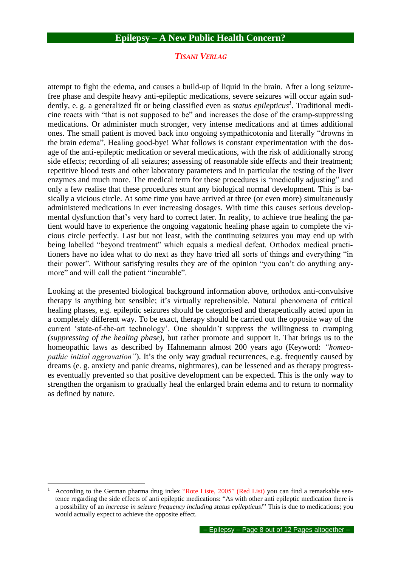### *TISANI VERLAG*

attempt to fight the edema, and causes a build-up of liquid in the brain. After a long seizurefree phase and despite heavy anti-epileptic medications, severe seizures will occur again suddently, e. g. a generalized fit or being classified even as *status epilepticus<sup>1</sup>* . Traditional medicine reacts with "that is not supposed to be" and increases the dose of the cramp-suppressing medications. Or administer much stronger, very intense medications and at times additional ones. The small patient is moved back into ongoing sympathicotonia and literally "drowns in the brain edema". Healing good-bye! What follows is constant experimentation with the dosage of the anti-epileptic medication or several medications, with the risk of additionally strong side effects; recording of all seizures; assessing of reasonable side effects and their treatment; repetitive blood tests and other laboratory parameters and in particular the testing of the liver enzymes and much more. The medical term for these procedures is "medically adjusting" and only a few realise that these procedures stunt any biological normal development. This is basically a vicious circle. At some time you have arrived at three (or even more) simultaneously administered medications in ever increasing dosages. With time this causes serious developmental dysfunction that's very hard to correct later. In reality, to achieve true healing the patient would have to experience the ongoing vagatonic healing phase again to complete the vicious circle perfectly. Last but not least, with the continuing seizures you may end up with being labelled "beyond treatment" which equals a medical defeat. Orthodox medical practitioners have no idea what to do next as they have tried all sorts of things and everything "in their power". Without satisfying results they are of the opinion "you can't do anything anymore" and will call the patient "incurable".

Looking at the presented biological background information above, orthodox anti-convulsive therapy is anything but sensible; it's virtually reprehensible. Natural phenomena of critical healing phases, e.g. epileptic seizures should be categorised and therapeutically acted upon in a completely different way. To be exact, therapy should be carried out the opposite way of the current 'state-of-the-art technology'. One shouldn't suppress the willingness to cramping *(suppressing of the healing phase),* but rather promote and support it. That brings us to the homeopathic laws as described by Hahnemann almost 200 years ago (Keyword: *"homeopathic initial aggravation"*). It's the only way gradual recurrences, e.g. frequently caused by dreams (e. g. anxiety and panic dreams, nightmares), can be lessened and as therapy progresses eventually prevented so that positive development can be expected. This is the only way to strengthen the organism to gradually heal the enlarged brain edema and to return to normality as defined by nature.

According to the German pharma drug index "Rote Liste, 2005" (Red List) you can find a remarkable sentence regarding the side effects of anti epileptic medications: "As with other anti epileptic medication there is a possibility of an *increase in seizure frequency including status epilepticus!*" This is due to medications; you would actually expect to achieve the opposite effect.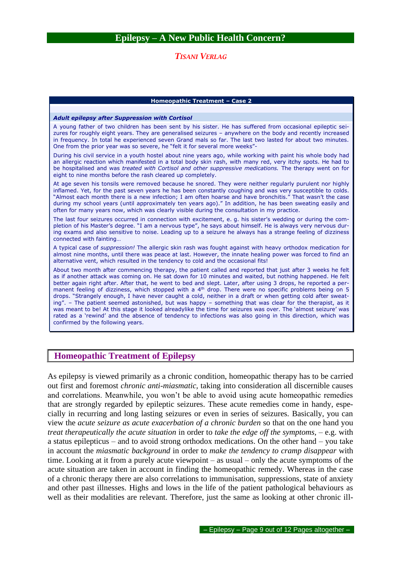### *TISANI VERLAG*

#### **Homeopathic Treatment – Case 2**

#### *Adult epilepsy after Suppression with Cortisol*

A young father of two children has been sent by his sister. He has suffered from occasional epileptic seizures for roughly eight years. They are generalised seizures – anywhere on the body and recently increased in frequency. In total he experienced seven Grand mals so far. The last two lasted for about two minutes. One from the prior year was so severe, he "felt it for several more weeks"-

During his civil service in a youth hostel about nine years ago, while working with paint his whole body had an allergic reaction which manifested in a total body skin rash, with many red, very itchy spots. He had to be hospitalised and was *treated with Cortisol and other suppressive medications.* The therapy went on for eight to nine months before the rash cleared up completely.

At age seven his tonsils were removed because he snored. They were neither regularly purulent nor highly inflamed. Yet, for the past seven years he has been constantly coughing and was very susceptible to colds. "Almost each month there is a new infection; I am often hoarse and have bronchitis." That wasn't the case during my school years (until approximately ten years ago)." In addition, he has been sweating easily and often for many years now, which was clearly visible during the consultation in my practice.

The last four seizures occurred in connection with excitement, e. g. his sister's wedding or during the completion of his Master's degree. "I am a nervous type", he says about himself. He is always very nervous during exams and also sensitive to noise. Leading up to a seizure he always has a strange feeling of dizziness connected with fainting…

A typical case of *suppression!* The allergic skin rash was fought against with heavy orthodox medication for almost nine months, until there was peace at last. However, the innate healing power was forced to find an alternative vent, which resulted in the tendency to cold and the occasional fits!

About two month after commencing therapy, the patient called and reported that just after 3 weeks he felt as if another attack was coming on. He sat down for 10 minutes and waited, but nothing happened. He felt better again right after. After that, he went to bed and slept. Later, after using 3 drops, he reported a permanent feeling of dizziness, which stopped with a 4<sup>th</sup> drop. There were no specific problems being on 5 drops. "Strangely enough, I have never caught a cold, neither in a draft or when getting cold after sweating". – The patient seemed astonished, but was happy – something that was clear for the therapist, as it was meant to be! At this stage it looked alreadylike the time for seizures was over. The 'almost seizure' was rated as a 'rewind' and the absence of tendency to infections was also going in this direction, which was confirmed by the following years.

### **Homeopathic Treatment of Epilepsy**

As epilepsy is viewed primarily as a chronic condition, homeopathic therapy has to be carried out first and foremost *chronic anti-miasmatic,* taking into consideration all discernible causes and correlations. Meanwhile, you won't be able to avoid using acute homeopathic remedies that are strongly regarded by epileptic seizures. These acute remedies come in handy, especially in recurring and long lasting seizures or even in series of seizures. Basically, you can view the *acute seizure as acute exacerbation of a chronic burden* so that on the one hand you *treat therapeutically the acute situation* in order to *take the edge off the symptoms,* – e.g. with a status epilepticus – and to avoid strong orthodox medications. On the other hand – you take in account the *miasmatic background* in order to *make the tendency to cramp disappear* with time. Looking at it from a purely acute viewpoint – as usual – only the acute symptoms of the acute situation are taken in account in finding the homeopathic remedy. Whereas in the case of a chronic therapy there are also correlations to immunisation, suppressions, state of anxiety and other past illnesses. Highs and lows in the life of the patient pathological behaviours as well as their modalities are relevant. Therefore, just the same as looking at other chronic ill-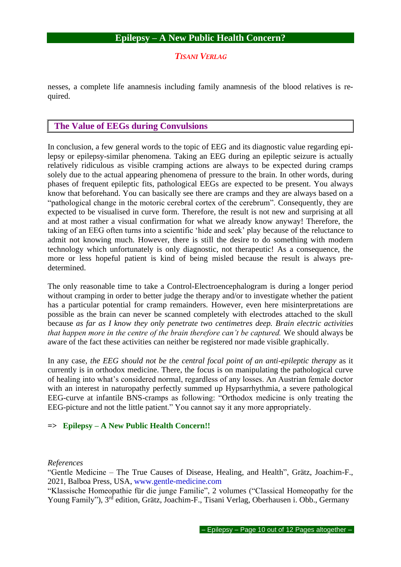*TISANI VERLAG*

nesses, a complete life anamnesis including family anamnesis of the blood relatives is required.

## **The Value of EEGs during Convulsions**

In conclusion, a few general words to the topic of EEG and its diagnostic value regarding epilepsy or epilepsy-similar phenomena. Taking an EEG during an epileptic seizure is actually relatively ridiculous as visible cramping actions are always to be expected during cramps solely due to the actual appearing phenomena of pressure to the brain. In other words, during phases of frequent epileptic fits, pathological EEGs are expected to be present. You always know that beforehand. You can basically see there are cramps and they are always based on a "pathological change in the motoric cerebral cortex of the cerebrum". Consequently, they are expected to be visualised in curve form. Therefore, the result is not new and surprising at all and at most rather a visual confirmation for what we already know anyway! Therefore, the taking of an EEG often turns into a scientific 'hide and seek' play because of the reluctance to admit not knowing much. However, there is still the desire to do something with modern technology which unfortunately is only diagnostic, not therapeutic! As a consequence, the more or less hopeful patient is kind of being misled because the result is always predetermined.

The only reasonable time to take a Control-Electroencephalogram is during a longer period without cramping in order to better judge the therapy and/or to investigate whether the patient has a particular potential for cramp remainders. However, even here misinterpretations are possible as the brain can never be scanned completely with electrodes attached to the skull because *as far as I know they only penetrate two centimetres deep. Brain electric activities that happen more in the centre of the brain therefore can't be captured.* We should always be aware of the fact these activities can neither be registered nor made visible graphically.

In any case, *the EEG should not be the central focal point of an anti-epileptic therapy* as it currently is in orthodox medicine. There, the focus is on manipulating the pathological curve of healing into what's considered normal, regardless of any losses. An Austrian female doctor with an interest in naturopathy perfectly summed up Hypsarrhythmia, a severe pathological EEG-curve at infantile BNS-cramps as following: "Orthodox medicine is only treating the EEG-picture and not the little patient." You cannot say it any more appropriately.

### **=> Epilepsy – A New Public Health Concern!!**

*References*

"Gentle Medicine – The True Causes of Disease, Healing, and Health", Grätz, Joachim-F., 2021, Balboa Press, USA, www.gentle-medicine.com

"Klassische Homeopathie für die junge Familie", 2 volumes ("Classical Homeopathy for the Young Family"), 3<sup>rd</sup> edition, Grätz, Joachim-F., Tisani Verlag, Oberhausen i. Obb., Germany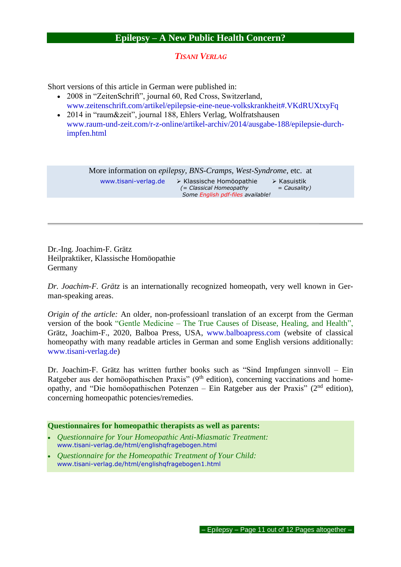### *TISANI VERLAG*

Short versions of this article in German were published in:

- 2008 in "ZeitenSchrift", journal 60, Red Cross, Switzerland, www.zeitenschrift.com/artikel/epilepsie-eine-neue-volkskrankheit#.VKdRUXtxyFq
- 2014 in "raum&zeit", journal 188, Ehlers Verlag, Wolfratshausen www.raum-und-zeit.com/r-z-online/artikel-archiv/2014/ausgabe-188/epilepsie-durchimpfen.html

More information on *epilepsy, BNS-Cramps, West-Syndrome,* etc. at www.tisani-verlag.de ➢ Klassische Homöopathie ➢ Kasuistik  *(= Classical Homeopathy = Causality) Some English pdf-files available!*

Dr.-Ing. Joachim-F. Grätz Heilpraktiker, Klassische Homöopathie Germany

*Dr. Joachim-F. Grätz* is an internationally recognized homeopath, very well known in German-speaking areas.

*Origin of the article:* An older, non-professioanl translation of an excerpt from the German version of the book "Gentle Medicine – The True Causes of Disease, Healing, and Health", Grätz, Joachim-F., 2020, Balboa Press, USA, www.balboapress.com (website of classical homeopathy with many readable articles in German and some English versions additionally: www.tisani-verlag.de)

Dr. Joachim-F. Grätz has written further books such as "Sind Impfungen sinnvoll – Ein Ratgeber aus der homöopathischen Praxis" (9<sup>th</sup> edition), concerning vaccinations and homeopathy, and "Die homöopathischen Potenzen – Ein Ratgeber aus der Praxis" ( $2<sup>nd</sup>$  edition), concerning homeopathic potencies/remedies.

### **Questionnaires for homeopathic therapists as well as parents:**

- *Questionnaire for Your Homeopathic Anti-Miasmatic Treatment:* www.tisani-verlag.de/html/englishqfragebogen.html
- *Questionnaire for the Homeopathic Treatment of Your Child:* www.tisani-verlag.de/html/englishqfragebogen1.html